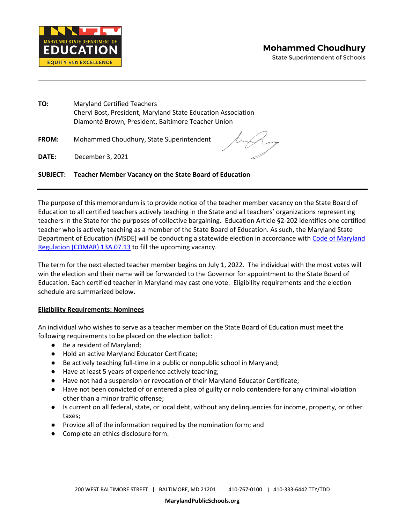

State Superintendent of Schools



**TO:** Maryland Certified Teachers Cheryl Bost, President, Maryland State Education Association Diamonté Brown, President, Baltimore Teacher Union

**FROM:** Mohammed Choudhury, State Superintendent

DATE: **DATE:** December 3, 2021

# **SUBJECT: Teacher Member Vacancy on the State Board of Education**

 Education to all certified teachers actively teaching in the State and all teachers' organizations representing Department of Education (MSDE) will be conducting a statewide election in accordance with Code of Maryland [Regulation \(COMAR\) 13A.07.13](http://www.dsd.state.md.us/COMAR/SubtitleSearch.aspx?search=13A.07.13.*) to fill the upcoming vacancy. The purpose of this memorandum is to provide notice of the teacher member vacancy on the State Board of teachers in the State for the purposes of collective bargaining. Education Article §2-202 identifies one certified teacher who is actively teaching as a member of the State Board of Education. As such, the Maryland State

 The term for the next elected teacher member begins on July 1, 2022. The individual with the most votes will win the election and their name will be forwarded to the Governor for appointment to the State Board of Education. Each certified teacher in Maryland may cast one vote. Eligibility requirements and the election schedule are summarized below.

### **Eligibility Requirements: Nominees**

 An individual who wishes to serve as a teacher member on the State Board of Education must meet the following requirements to be placed on the election ballot:

- Be a resident of Maryland;
- Hold an active Maryland Educator Certificate;
- Be actively teaching full-time in a public or nonpublic school in Maryland;
- Have at least 5 years of experience actively teaching;
- Have not had a suspension or revocation of their Maryland Educator Certificate;
- ● Have not been convicted of or entered a plea of guilty or nolo contendere for any criminal violation other than a minor traffic offense;
- ● Is current on all federal, state, or local debt, without any delinquencies for income, property, or other taxes;
- Provide all of the information required by the nomination form; and
- Complete an ethics disclosure form.